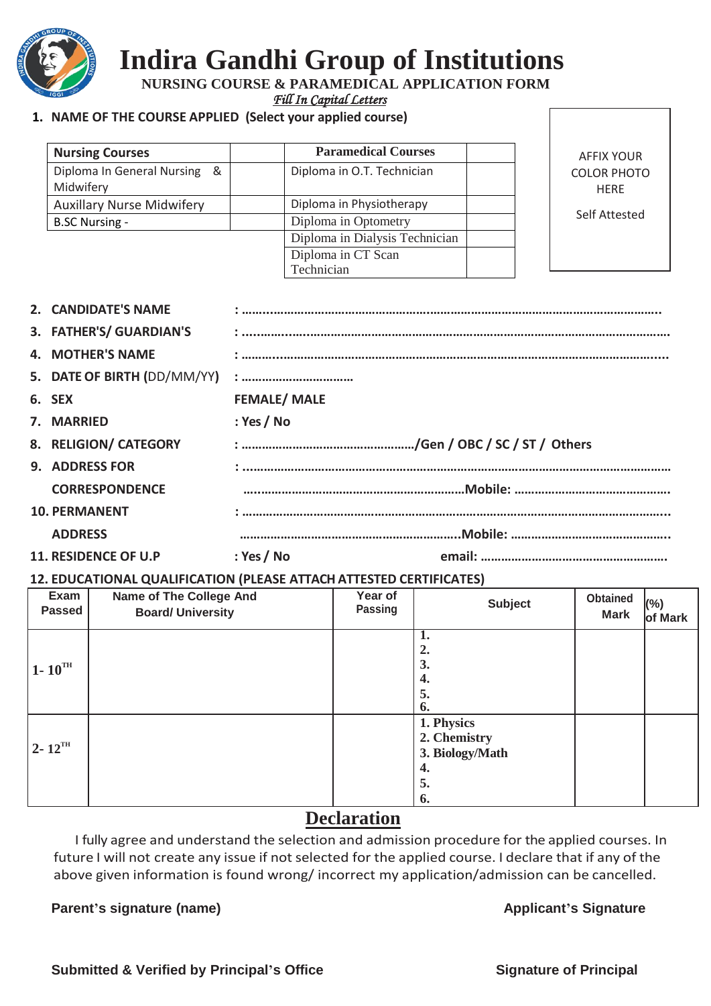

## **Indira Gandhi Group of Institutions**

 **NURSING COURSE & PARAMEDICAL APPLICATION FORM** 

*Fill In Capital Letters* 

#### **1. NAME OF THE COURSE APPLIED (Select your applied course)**

| <b>Nursing Courses</b>                        | <b>Paramedical Courses</b>     |
|-----------------------------------------------|--------------------------------|
| Diploma In General Nursing<br>୍ଷ<br>Midwifery | Diploma in O.T. Technician     |
| <b>Auxillary Nurse Midwifery</b>              | Diploma in Physiotherapy       |
| <b>B.SC Nursing -</b>                         | Diploma in Optometry           |
|                                               | Diploma in Dialysis Technician |
|                                               | Diploma in CT Scan             |
|                                               | Technician                     |

AFFIX YOUR COLOR PHOTO HERE

Self Attested

|  | 2. CANDIDATE'S NAME         |                    |
|--|-----------------------------|--------------------|
|  | 3. FATHER'S/ GUARDIAN'S     |                    |
|  | <b>4. MOTHER'S NAME</b>     |                    |
|  | 5. DATE OF BIRTH (DD/MM/YY) |                    |
|  | 6. SEX                      | <b>FEMALE/MALE</b> |
|  | 7. MARRIED                  | : Yes / No         |
|  | 8. RELIGION/ CATEGORY       |                    |
|  | <b>9. ADDRESS FOR</b>       |                    |
|  | <b>CORRESPONDENCE</b>       |                    |
|  | <b>10. PERMANENT</b>        |                    |
|  | <b>ADDRESS</b>              |                    |
|  | <b>11. RESIDENCE OF U.P</b> | : Yes / No         |
|  |                             |                    |

#### **12. EDUCATIONAL QUALIFICATION (PLEASE ATTACH ATTESTED CERTIFICATES)**

| Exam<br><b>Passed</b>  | <b>Name of The College And</b><br><b>Board/ University</b> | Year of<br>Passing | <b>Subject</b>                                                  | <b>Obtained</b><br><b>Mark</b> | (%)<br>of Mark |
|------------------------|------------------------------------------------------------|--------------------|-----------------------------------------------------------------|--------------------------------|----------------|
| $1 - 10^{TH}$          |                                                            |                    | 2.<br>3.<br>4.<br>5.<br>6.                                      |                                |                |
| $2 - 12$ <sup>TH</sup> |                                                            |                    | 1. Physics<br>2. Chemistry<br>3. Biology/Math<br>4.<br>5.<br>6. |                                |                |

#### **Declaration**

I fully agree and understand the selection and admission procedure for the applied courses. In future I will not create any issue if not selected for the applied course. I declare that if any of the above given information is found wrong/ incorrect my application/admission can be cancelled.

#### **Parent's signature (name)** Applicant's Signature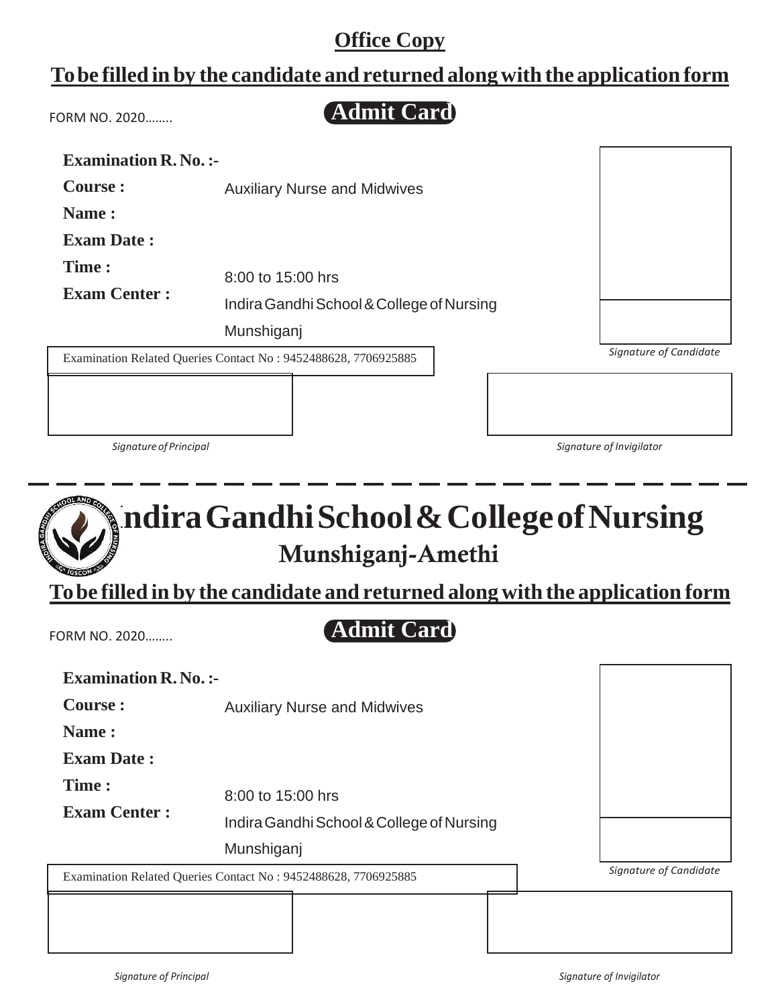### **Tobe filled in by the candidate and returned alongwith the application form**

FORM NO. 2020……..

**Admit Card**

| <b>Examination R. No. :-</b> |                                                                |                          |
|------------------------------|----------------------------------------------------------------|--------------------------|
| Course :                     | <b>Auxiliary Nurse and Midwives</b>                            |                          |
| Name:                        |                                                                |                          |
| <b>Exam Date:</b>            |                                                                |                          |
| Time:                        | 8:00 to 15:00 hrs                                              |                          |
|                              |                                                                |                          |
| <b>Exam Center:</b>          | Indira Gandhi School & College of Nursing                      |                          |
|                              | Munshiganj                                                     |                          |
|                              | Examination Related Queries Contact No: 9452488628, 7706925885 | Signature of Candidate   |
|                              |                                                                |                          |
|                              |                                                                |                          |
|                              |                                                                |                          |
| Signature of Principal       |                                                                | Signature of Invigilator |

# **IndiraGandhiSchool&CollegeofNursing Munshiganj-Amethi**

**Tobe filled in by the candidate and returned along with the application form**

FORM NO. 2020……..

### **Admit Card**

| <b>Examination R. No. :-</b> |                                                                |                        |
|------------------------------|----------------------------------------------------------------|------------------------|
| <b>Course:</b>               | <b>Auxiliary Nurse and Midwives</b>                            |                        |
| Name:                        |                                                                |                        |
| <b>Exam Date:</b>            |                                                                |                        |
| Time:<br><b>Exam Center:</b> | 8:00 to 15:00 hrs                                              |                        |
|                              | Indira Gandhi School & College of Nursing<br>Munshiganj        |                        |
|                              | Examination Related Queries Contact No: 9452488628, 7706925885 | Signature of Candidate |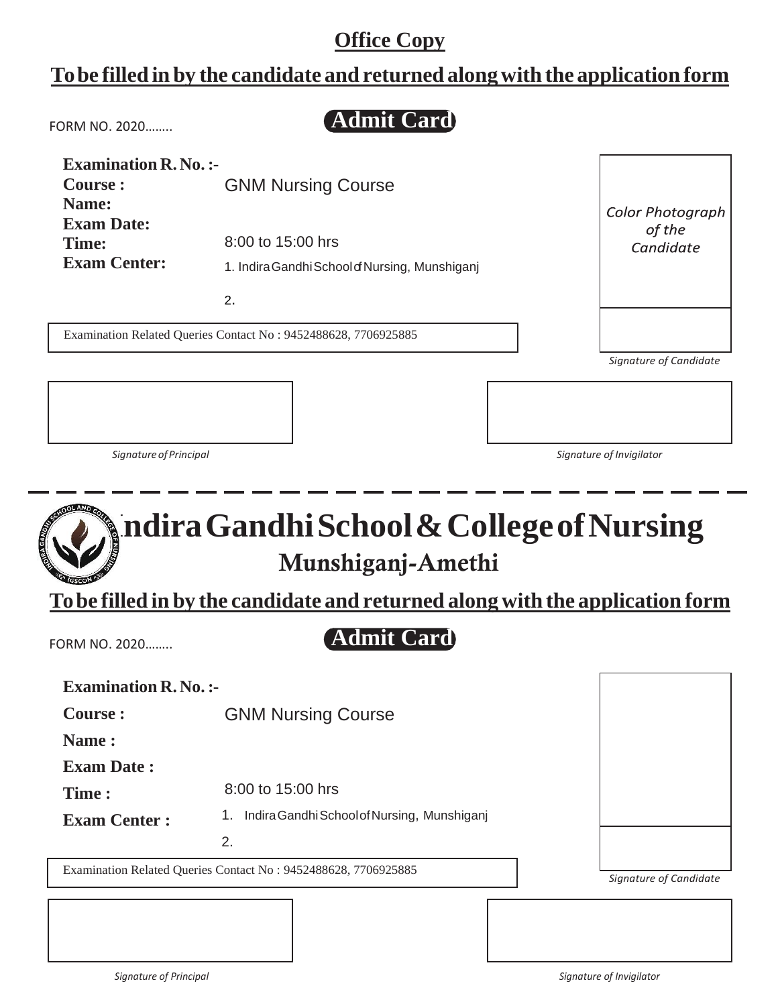#### **Tobe filled in by the candidate and returned alongwith the application form**

**Admit Card** FORM NO. 2020…….. **Examination R. No. :- Course :** GNM Nursing Course **Name: Color Photograph Exam Date:** of the 8:00 to 15:00 hrs **Time:** Candidate **Exam Center:** 1. Indira Gandhi School of Nursing, Munshiganj 2. Examination Related Queries Contact No : 9452488628, 7706925885*Signature of Candidate*

*SignatureofPrincipal Signature of Invigilator*

## **IndiraGandhiSchool&CollegeofNursing Munshiganj-Amethi**

**Tobe filled in by the candidate and returned along with the application form**

FORM NO. 2020……..

## **Admit Card**

| <b>Examination R. No. :-</b> |                                                                |                        |
|------------------------------|----------------------------------------------------------------|------------------------|
| Course :                     | <b>GNM Nursing Course</b>                                      |                        |
| Name:                        |                                                                |                        |
| <b>Exam Date:</b>            |                                                                |                        |
| Time:                        | 8:00 to 15:00 hrs                                              |                        |
| <b>Exam Center:</b>          | Indira Gandhi School of Nursing, Munshiganj<br>1.              |                        |
|                              | 2.                                                             |                        |
|                              | Examination Related Queries Contact No: 9452488628, 7706925885 | Cianatura of Candidata |

*Signature of Candidate*

*Signature of Principal Signature of Invigilator*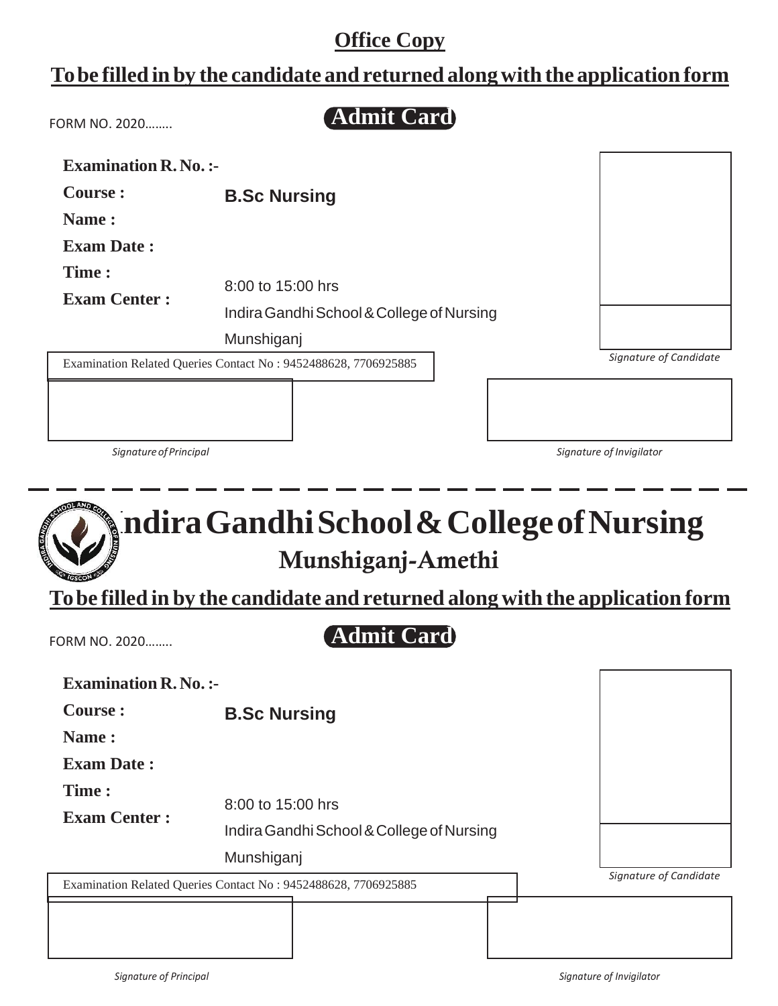#### **Tobe filled in by the candidate and returned alongwith the application form**

**Admit Card**

| FORM NO. 2020 |
|---------------|
|               |

| <b>Examination R. No. :-</b> |                                                                |                        |
|------------------------------|----------------------------------------------------------------|------------------------|
| Course :                     | <b>B.Sc Nursing</b>                                            |                        |
| Name:                        |                                                                |                        |
| <b>Exam Date:</b>            |                                                                |                        |
| Time:                        | 8:00 to 15:00 hrs                                              |                        |
| <b>Exam Center:</b>          | Indira Gandhi School & College of Nursing                      |                        |
|                              | Munshiganj                                                     |                        |
|                              | Examination Related Queries Contact No: 9452488628, 7706925885 | Signature of Candidate |
|                              |                                                                |                        |

*SignatureofPrincipal Signature of Invigilator*

## **IndiraGandhiSchool&CollegeofNursing Munshiganj-Amethi**

**Tobe filled in by the candidate and returned along with the application form**

FORM NO. 2020……..

#### **Admit Card**

| <b>Examination R. No. :-</b> |                                                                |                        |
|------------------------------|----------------------------------------------------------------|------------------------|
| Course :                     | <b>B.Sc Nursing</b>                                            |                        |
| Name:                        |                                                                |                        |
| <b>Exam Date:</b>            |                                                                |                        |
| Time:<br><b>Exam Center:</b> | 8:00 to 15:00 hrs                                              |                        |
|                              | Indira Gandhi School & College of Nursing                      |                        |
|                              | Munshiganj                                                     |                        |
|                              | Examination Related Queries Contact No: 9452488628, 7706925885 | Signature of Candidate |
|                              |                                                                |                        |